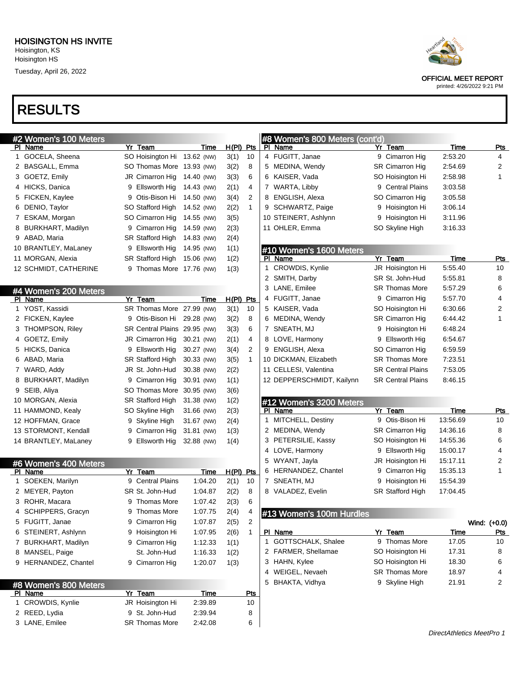|    | #2 Women's 100 Meters |   |                         |            |       |     |
|----|-----------------------|---|-------------------------|------------|-------|-----|
| ΡI | Name                  |   | Yr Team                 | Time       | H(PI) | Pts |
| 1  | GOCELA, Sheena        |   | SO Hoisington Hi        | 13.62 (NW) | 3(1)  | 10  |
| 2  | BASGALL, Emma         |   | SO Thomas More          | 13.93 (NW) | 3(2)  | 8   |
| 3  | GOETZ, Emily          |   | <b>JR Cimarron Hig</b>  | 14.40 (NW) | 3(3)  | 6   |
| 4  | HICKS, Danica         | 9 | Ellsworth Hig           | 14.43 (NW) | 2(1)  | 4   |
|    | 5 FICKEN, Kaylee      | 9 | Otis-Bison Hi           | 14.50 (NW) | 3(4)  | 2   |
| 6  | DENIO, Taylor         |   | SO Stafford High        | 14.52 (NW) | 2(2)  | 1   |
| 7  | ESKAM, Morgan         |   | SO Cimarron Hig         | 14.55 (NW) | 3(5)  |     |
| 8  | BURKHART, Madilyn     |   | 9 Cimarron Hig          | 14.59 (NW) | 2(3)  |     |
| 9  | ABAD, Maria           |   | <b>SR Stafford High</b> | 14.83 (NW) | 2(4)  |     |
|    | 10 BRANTLEY, MaLaney  | 9 | Ellsworth Hig           | 14.95 (NW) | 1(1)  |     |
|    | 11 MORGAN, Alexia     |   | <b>SR Stafford High</b> | 15.06 (NW) | 1(2)  |     |
|    | 12 SCHMIDT, CATHERINE | 9 | <b>Thomas More</b>      | 17.76 (NW) | 1(3)  |     |
|    |                       |   |                         |            |       |     |

|     | #4 Women's 200 Meters |   |                           |            |      |       |     |
|-----|-----------------------|---|---------------------------|------------|------|-------|-----|
| PI. | Name                  |   | Yr Team                   |            | Time | H(PI) | Pts |
| 1   | YOST, Kassidi         |   | SR Thomas More 27.99 (NW) |            |      | 3(1)  | 10  |
| 2   | FICKEN, Kaylee        | 9 | Otis-Bison Hi             | 29.28 (NW) |      | 3(2)  | 8   |
|     | 3 THOMPSON, Riley     |   | <b>SR Central Plains</b>  | 29.95 (NW) |      | 3(3)  | 6   |
| 4   | GOETZ, Emily          |   | <b>JR Cimarron Hig</b>    | 30.21 (NW) |      | 2(1)  | 4   |
| 5.  | HICKS, Danica         |   | 9 Ellsworth Hig           | 30.27 (NW) |      | 3(4)  | 2   |
| 6   | ABAD, Maria           |   | <b>SR Stafford High</b>   | 30.33 (NW) |      | 3(5)  | 1   |
| 7   | WARD, Addy            |   | JR St. John-Hud           | 30.38 (NW) |      | 2(2)  |     |
| 8   | BURKHART, Madilyn     |   | 9 Cimarron Hig            | 30.91 (NW) |      | 1(1)  |     |
|     | 9 SEIB, Aliya         |   | SO Thomas More            | 30.95 (NW) |      | 3(6)  |     |
|     | 10 MORGAN, Alexia     |   | <b>SR Stafford High</b>   | 31.38 (NW) |      | 1(2)  |     |
|     | 11 HAMMOND, Kealy     |   | SO Skyline High           | 31.66 (NW) |      | 2(3)  |     |
|     | 12 HOFFMAN, Grace     | 9 | Skyline High              | 31.67 (NW) |      | 2(4)  |     |
|     | 13 STORMONT, Kendall  | 9 | Cimarron Hig              | 31.81 (NW) |      | 1(3)  |     |
|     | 14 BRANTLEY, MaLaney  | 9 | Ellsworth Hig             | 32.88 (NW) |      | 1(4)  |     |

#### #6 Women's 400 Meters<br>Pl Name Yr Team Time H(PI) Pts SOEKEN, Marilyn 9 Central Plains 1:04.20 2(1) 10 MEYER, Payton SR St. John-Hud 1:04.87 2(2) 8 ROHR, Macara 9 Thomas More 1:07.42 2(3) 6 4 SCHIPPERS, Gracyn 9 Thomas More 1:07.75 2(4) 4 5 FUGITT, Janae 9 Cimarron Hig 1:07.87 2(5) 2 STEINERT, Ashlynn 9 Hoisington Hi 1:07.95 2(6) 1 7 BURKHART, Madilyn 9 Cimarron Hig 1:12.33 1(1) MANSEL, Paige St. John-Hud 1:16.33 1(2) 9 HERNANDEZ, Chantel 9 Cimarron Hig 1:20.07 1(3)

| #8 Women's 800 Meters |                       |         |     |
|-----------------------|-----------------------|---------|-----|
| Name<br>PI.           | Yr Team               | Time    | Pts |
| 1 CROWDIS, Kynlie     | JR Hoisington Hi      | 2:39.89 | 10  |
| 2 REED, Lydia         | 9 St. John-Hud        | 2:39.94 |     |
| 3 LANE, Emilee        | <b>SR Thomas More</b> | 2:42.08 |     |



printed: 4/26/2022 9:21 PM

| 7  | WARTA, Libby              |   | 9 Central Plains         | 3:03.58 |     |
|----|---------------------------|---|--------------------------|---------|-----|
| 8  | ENGLISH, Alexa            |   | SO Cimarron Hig          | 3:05.58 |     |
| 9  | SCHWARTZ, Paige           |   | 9 Hoisington Hi          | 3:06.14 |     |
|    | 10 STEINERT, Ashlynn      |   | 9 Hoisington Hi          | 3:11.96 |     |
|    | 11 OHLER, Emma            |   | SO Skyline High          | 3:16.33 |     |
|    |                           |   |                          |         |     |
|    | #10 Women's 1600 Meters   |   |                          |         |     |
| ΡI | Name                      |   | Yr Team                  | Time    | Pts |
| 1  | CROWDIS, Kynlie           |   | JR Hoisington Hi         | 5:55.40 | 10  |
| 2  | SMITH, Darby              |   | SR St. John-Hud          | 5:55.81 | 8   |
| 3  | LANE, Emilee              |   | <b>SR Thomas More</b>    | 5:57.29 | 6   |
| 4  | FUGITT, Janae             |   | 9 Cimarron Hig           | 5:57.70 | 4   |
| 5  | KAISER, Vada              |   | SO Hoisington Hi         | 6:30.66 | 2   |
| 6  | MEDINA, Wendy             |   | SR Cimarron Hig          | 6:44.42 | 1   |
| 7  | SNEATH, MJ                |   | 9 Hoisington Hi          | 6:48.24 |     |
| 8  | LOVE, Harmony             | 9 | Ellsworth Hig            | 6:54.67 |     |
| 9  | ENGLISH, Alexa            |   | SO Cimarron Hig          | 6:59.59 |     |
|    | 10 DICKMAN, Elizabeth     |   | <b>SR Thomas More</b>    | 7:23.51 |     |
|    | 11 CELLESI, Valentina     |   | <b>SR Central Plains</b> | 7:53.05 |     |
|    | 12 DEPPERSCHMIDT, Kailynn |   | <b>SR Central Plains</b> | 8:46.15 |     |
|    |                           |   |                          |         |     |

PI Name **Yr Team** Time Pts 4 FUGITT, Janae 9 Cimarron Hig 2:53.20 4 MEDINA, Wendy SR Cimarron Hig 2:54.69 2 6 KAISER, Vada SO Hoisington Hi 2:58.98 1

#8 Women's 800 Meters (cont'd)<br>PL Name

|   | #12 Women's 3200 Meters |                         |          |     |
|---|-------------------------|-------------------------|----------|-----|
|   | PI Name                 | Yr Team                 | Time     | Pts |
| 1 | MITCHELL, Destiny       | 9 Otis-Bison Hi         | 13:56.69 | 10  |
|   | 2 MEDINA, Wendy         | <b>SR Cimarron Hig</b>  | 14:36.16 | 8   |
|   | 3 PETERSILIE, Kassy     | SO Hoisington Hi        | 14:55.36 | 6   |
|   | 4 LOVE, Harmony         | 9 Ellsworth Hig         | 15:00.17 | 4   |
|   | 5 WYANT, Jayla          | JR Hoisington Hi        | 15:17.11 | 2   |
|   | 6 HERNANDEZ, Chantel    | 9 Cimarron Hig          | 15:35.13 | 1   |
|   | SNEATH, MJ              | 9 Hoisington Hi         | 15:54.39 |     |
|   | 8 VALADEZ, Evelin       | <b>SR Stafford High</b> | 17:04.45 |     |

#### #13 Women's 100m Hurdles

|                      |                       |       | Wind: (+0.0) |
|----------------------|-----------------------|-------|--------------|
| PI Name              | Yr Team               | Time  | Pts          |
| 1 GOTTSCHALK, Shalee | 9 Thomas More         | 17.05 | 10           |
| 2 FARMER, Shellamae  | SO Hoisington Hi      | 17.31 | 8            |
| 3 HAHN, Kylee        | SO Hoisington Hi      | 18.30 | 6            |
| 4 WEIGEL, Nevaeh     | <b>SR Thomas More</b> | 18.97 | 4            |
| 5 BHAKTA, Vidhya     | 9 Skyline High        | 21.91 | 2            |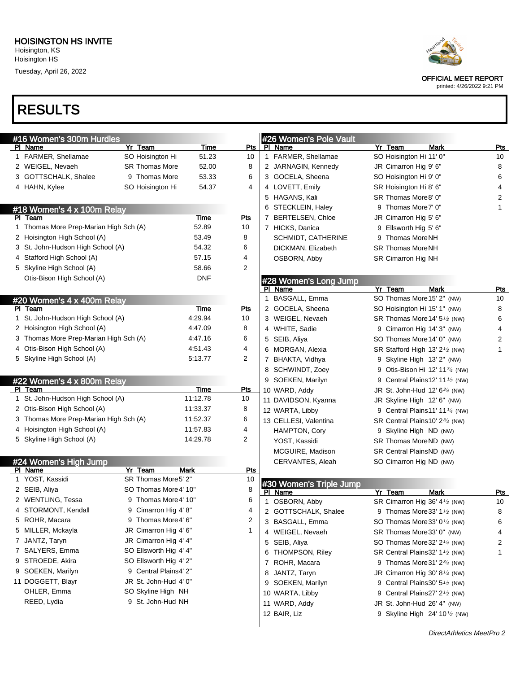Hoisington HS

Tuesday, April 26, 2022



OFFICIAL MEET REPORT

printed: 4/26/2022 9:21 PM

### RESULTS

| #16 Women's 300m Hurdles               |                        |             |              |   | #26 Women's Pole Vault  |                          |                                                          |                |
|----------------------------------------|------------------------|-------------|--------------|---|-------------------------|--------------------------|----------------------------------------------------------|----------------|
| PI Name                                | Yr Team                | Time        | Pts          |   | PI Name                 | Yr Team                  | <b>Mark</b>                                              | <b>Pts</b>     |
| 1 FARMER, Shellamae                    | SO Hoisington Hi       | 51.23       | 10           |   | 1 FARMER, Shellamae     | SO Hoisington Hi 11' 0"  |                                                          | 10             |
| 2 WEIGEL, Nevaeh                       | <b>SR Thomas More</b>  | 52.00       | 8            |   | 2 JARNAGIN, Kennedy     | JR Cimarron Hig 9' 6"    |                                                          | 8              |
| 3 GOTTSCHALK, Shalee                   | 9 Thomas More          | 53.33       | 6            |   | 3 GOCELA, Sheena        | SO Hoisington Hi 9' 0"   |                                                          | 6              |
| 4 HAHN, Kylee                          | SO Hoisington Hi       | 54.37       | 4            |   | 4 LOVETT, Emily         | SR Hoisington Hi 8' 6"   |                                                          | 4              |
|                                        |                        |             |              |   | 5 HAGANS, Kali          | SR Thomas More8' 0"      |                                                          | 2              |
| #18 Women's 4 x 100m Relay             |                        |             |              |   | 6 STECKLEIN, Haley      | 9 Thomas More 7' 0"      |                                                          | 1              |
| PI Team                                |                        | Time        | Pts          |   | 7 BERTELSEN, Chloe      | JR Cimarron Hig 5' 6"    |                                                          |                |
| 1 Thomas More Prep-Marian High Sch (A) |                        | 52.89       | 10           |   | 7 HICKS, Danica         | 9 Ellsworth Hig 5' 6"    |                                                          |                |
| 2 Hoisington High School (A)           |                        | 53.49       | 8            |   | SCHMIDT, CATHERINE      | 9 Thomas MoreNH          |                                                          |                |
| 3 St. John-Hudson High School (A)      |                        | 54.32       | 6            |   | DICKMAN, Elizabeth      | <b>SR Thomas MoreNH</b>  |                                                          |                |
| 4 Stafford High School (A)             |                        | 57.15       | 4            |   | OSBORN, Abby            | SR Cimarron Hig NH       |                                                          |                |
| 5 Skyline High School (A)              |                        | 58.66       | 2            |   |                         |                          |                                                          |                |
| Otis-Bison High School (A)             |                        | <b>DNF</b>  |              |   | #28 Women's Long Jump   |                          |                                                          |                |
|                                        |                        |             |              |   | PI Name                 | Yr Team                  | <b>Mark</b>                                              | Pts            |
| #20 Women's 4 x 400m Relay             |                        |             |              |   | 1 BASGALL, Emma         |                          | SO Thomas More 15' 2" (NW)                               | 10             |
| PI Team                                |                        | <b>Time</b> | Pts          |   | 2 GOCELA, Sheena        |                          | SO Hoisington Hi 15' 1" (NW)                             | 8              |
| 1 St. John-Hudson High School (A)      |                        | 4:29.94     | 10           |   | 3 WEIGEL, Nevaeh        |                          | SR Thomas More 14' 5 <sup>1</sup> / <sub>2</sub> (NW)    | 6              |
| 2 Hoisington High School (A)           |                        | 4:47.09     | 8            |   | 4 WHITE, Sadie          |                          | 9 Cimarron Hig 14' 3" (NW)                               | 4              |
| 3 Thomas More Prep-Marian High Sch (A) |                        | 4:47.16     | 6            |   | 5 SEIB, Aliya           |                          | SO Thomas More 14' 0" (NW)                               | $\overline{2}$ |
| 4 Otis-Bison High School (A)           |                        | 4:51.43     | 4            |   | 6 MORGAN, Alexia        |                          | SR Stafford High 13' 2 <sup>1/2</sup> (NW)               | 1              |
| 5 Skyline High School (A)              |                        | 5:13.77     | 2            |   | 7 BHAKTA, Vidhya        |                          | 9 Skyline High 13' 2" (NW)                               |                |
|                                        |                        |             |              |   | 8 SCHWINDT, Zoey        |                          | 9 Otis-Bison Hi 12' 11 <sup>3/4</sup> (NW)               |                |
| #22 Women's 4 x 800m Relay             |                        |             |              |   | 9 SOEKEN, Marilyn       |                          | 9 Central Plains12' 11 <sup>1</sup> / <sub>2</sub> (NW)  |                |
| PI Team                                |                        | Time        | <u>Pts</u>   |   | 10 WARD, Addy           |                          | JR St. John-Hud $12'63/4$ (NW)                           |                |
| 1 St. John-Hudson High School (A)      |                        | 11:12.78    | 10           |   | 11 DAVIDSON, Kyanna     |                          | JR Skyline High 12' 6" (NW)                              |                |
| 2 Otis-Bison High School (A)           |                        | 11:33.37    | 8            |   | 12 WARTA, Libby         |                          | 9 Central Plains11' 11 <sup>1/4</sup> (NW)               |                |
| 3 Thomas More Prep-Marian High Sch (A) |                        | 11:52.37    | 6            |   | 13 CELLESI, Valentina   |                          | SR Central Plains10' 23/4 (NW)                           |                |
| 4 Hoisington High School (A)           |                        | 11:57.83    | 4            |   | HAMPTON, Cory           | 9 Skyline High ND (NW)   |                                                          |                |
| 5 Skyline High School (A)              |                        | 14:29.78    | 2            |   | YOST, Kassidi           | SR Thomas MoreND (NW)    |                                                          |                |
|                                        |                        |             |              |   | MCGUIRE, Madison        | SR Central PlainsND (NW) |                                                          |                |
| #24 Women's High Jump                  |                        |             |              |   | CERVANTES, Aleah        | SO Cimarron Hig ND (NW)  |                                                          |                |
| PI Name                                | Yr Team                | <b>Mark</b> | <b>Pts</b>   |   |                         |                          |                                                          |                |
| 1 YOST, Kassidi                        | SR Thomas More5' 2"    |             | 10           |   | #30 Women's Triple Jump |                          |                                                          |                |
| 2 SEIB, Aliya                          | SO Thomas More 4' 10"  |             | 8            |   | PI Name                 | Yr Team                  | <b>Mark</b>                                              | <u>Pts</u>     |
| 2 WENTLING, Tessa                      | 9 Thomas More4' 10"    |             | 6            | 1 | OSBORN, Abby            |                          | SR Cimarron Hig 36' 4 <sup>1/2</sup> (NW)                | 10             |
| 4 STORMONT, Kendall                    | 9 Cimarron Hig 4'8"    |             | 4            | 2 | GOTTSCHALK, Shalee      |                          | 9 Thomas More 33' 1 <sup>1/2</sup> (NW)                  | 8              |
| 5 ROHR, Macara                         | 9 Thomas More4' 6"     |             | 2            |   | 3 BASGALL, Emma         |                          | SO Thomas More 33' 0 <sup>1/4</sup> (NW)                 | 6              |
| 5 MILLER, Mckayla                      | JR Cimarron Hig 4' 6"  |             | $\mathbf{1}$ |   | 4 WEIGEL, Nevaeh        |                          | SR Thomas More 33' 0" (NW)                               | 4              |
| 7 JANTZ, Taryn                         | JR Cimarron Hig 4' 4"  |             |              |   | 5 SEIB, Aliya           |                          | SO Thomas More 32' 2 <sup>1/4</sup> (NW)                 | 2              |
| 7 SALYERS, Emma                        | SO Ellsworth Hig 4' 4" |             |              |   | 6 THOMPSON, Riley       |                          | SR Central Plains 32' 1 <sup>1</sup> / <sub>2</sub> (NW) | 1              |
| 9 STROEDE, Akira                       | SO Ellsworth Hig 4' 2" |             |              |   | 7 ROHR, Macara          |                          | 9 Thomas More 31' $2\frac{3}{4}$ (NW)                    |                |
| 9 SOEKEN, Marilyn                      | 9 Central Plains4' 2"  |             |              |   | 8 JANTZ, Taryn          |                          | JR Cimarron Hig 30' 8 $\frac{1}{4}$ (NW)                 |                |
| 11 DOGGETT, Blayr                      | JR St. John-Hud 4' 0"  |             |              |   | 9 SOEKEN, Marilyn       |                          | 9 Central Plains 30' 5 <sup>1</sup> / <sub>2</sub> (NW)  |                |
| OHLER, Emma                            | SO Skyline High NH     |             |              |   | 10 WARTA, Libby         |                          | 9 Central Plains27' 2 <sup>1</sup> / <sub>2</sub> (NW)   |                |
| REED, Lydia                            | 9 St. John-Hud NH      |             |              |   | 11 WARD, Addy           |                          | JR St. John-Hud 26' 4" (NW)                              |                |
|                                        |                        |             |              |   | 12 BAIR, Liz            |                          | 9 Skyline High 24' 10 <sup>1</sup> / <sub>2</sub> (NW)   |                |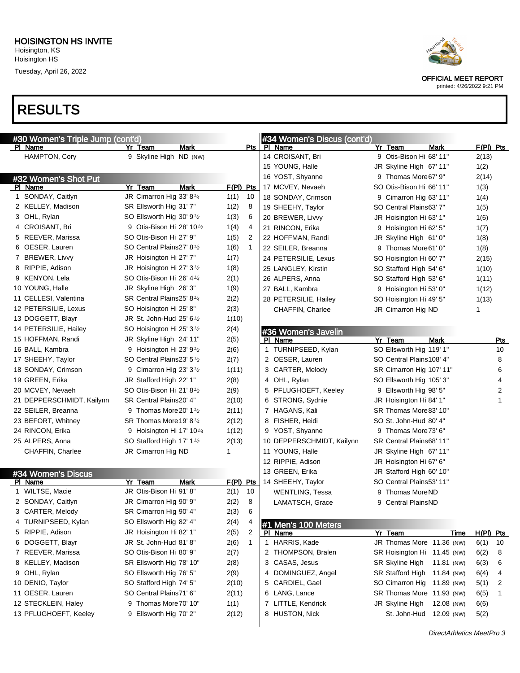

OFFICIAL MEET REPORT

printed: 4/26/2022 9:21 PM

#### RESULTS

| #30 Women's Triple Jump (cont'd) |                                                    |             |             |                | #34 Women's Discus (cont'd) |                             |            |             |             |
|----------------------------------|----------------------------------------------------|-------------|-------------|----------------|-----------------------------|-----------------------------|------------|-------------|-------------|
| PI Name                          | Yr Team                                            | <b>Mark</b> |             | Pts            | PI Name                     | Yr Team                     | Mark       |             | $F(PI)$ Pts |
| HAMPTON, Cory                    | 9 Skyline High ND (NW)                             |             |             |                | 14 CROISANT, Bri            | 9 Otis-Bison Hi 68' 11"     |            | 2(13)       |             |
|                                  |                                                    |             |             |                | 15 YOUNG, Halle             | JR Skyline High 67' 11"     |            | 1(2)        |             |
| #32 Women's Shot Put             |                                                    |             |             |                | 16 YOST, Shyanne            | 9 Thomas More 67' 9"        |            | 2(14)       |             |
| PI Name                          | Yr Team                                            | Mark        | $F(PI)$ Pts |                | 17 MCVEY, Nevaeh            | SO Otis-Bison Hi 66' 11"    |            | 1(3)        |             |
| 1 SONDAY, Caitlyn                | JR Cimarron Hig 33' 8 <sup>1/4</sup>               |             | 1(1)        | 10             | 18 SONDAY, Crimson          | 9 Cimarron Hig 63' 11"      |            | 1(4)        |             |
| 2 KELLEY, Madison                | SR Ellsworth Hig 31' 7"                            |             | 1(2)        | 8              | 19 SHEEHY, Taylor           | SO Central Plains63' 7"     |            | 1(5)        |             |
| 3 OHL, Rylan                     | SO Ellsworth Hig 30' 9 <sup>1</sup> /2             |             | 1(3)        | 6              | 20 BREWER, Livvy            | JR Hoisington Hi 63' 1"     |            | 1(6)        |             |
| 4 CROISANT, Bri                  | 9 Otis-Bison Hi 28' 101/2                          |             | 1(4)        | 4              | 21 RINCON, Erika            | 9 Hoisington Hi 62' 5"      |            | 1(7)        |             |
| 5 REEVER, Marissa                | SO Otis-Bison Hi 27' 9"                            |             | 1(5)        | 2              | 22 HOFFMAN, Randi           | JR Skyline High 61' 0"      |            | 1(8)        |             |
| 6 OESER, Lauren                  | SO Central Plains27' 8 <sup>1</sup> / <sub>2</sub> |             | 1(6)        | $\mathbf{1}$   | 22 SEILER, Breanna          | 9 Thomas More 61' 0"        |            | 1(8)        |             |
| 7 BREWER, Livvy                  | JR Hoisington Hi 27' 7"                            |             | 1(7)        |                | 24 PETERSILIE, Lexus        | SO Hoisington Hi 60' 7"     |            | 2(15)       |             |
| 8 RIPPIE, Adison                 | JR Hoisington Hi 27' 3 <sup>1</sup> /2             |             | 1(8)        |                | 25 LANGLEY, Kirstin         | SO Stafford High 54' 6"     |            | 1(10)       |             |
| 9 KENYON, Lela                   | SO Otis-Bison Hi 26' 41/4                          |             | 2(1)        |                | 26 ALPERS, Anna             | SO Stafford High 53' 6"     |            | 1(11)       |             |
| 10 YOUNG, Halle                  | JR Skyline High 26' 3"                             |             | 1(9)        |                | 27 BALL, Kambra             | 9 Hoisington Hi 53' 0"      |            | 1(12)       |             |
| 11 CELLESI, Valentina            | SR Central Plains25' 8 <sup>1/4</sup>              |             | 2(2)        |                | 28 PETERSILIE, Hailey       | SO Hoisington Hi 49' 5"     |            | 1(13)       |             |
| 12 PETERSILIE, Lexus             | SO Hoisington Hi 25' 8"                            |             | 2(3)        |                | CHAFFIN, Charlee            | JR Cimarron Hig ND          |            | 1           |             |
| 13 DOGGETT, Blayr                | JR St. John-Hud 25' $6\frac{1}{2}$                 |             | 1(10)       |                |                             |                             |            |             |             |
| 14 PETERSILIE, Hailey            | SO Hoisington Hi 25' 3 <sup>1</sup> /2             |             | 2(4)        |                | #36 Women's Javelin         |                             |            |             |             |
| 15 HOFFMAN, Randi                | JR Skyline High 24' 11"                            |             | 2(5)        |                | PI Name                     | Yr Team                     | Mark       |             | Pts         |
| 16 BALL, Kambra                  | 9 Hoisington Hi 23' 9 <sup>1</sup> /2              |             | 2(6)        |                | 1 TURNIPSEED, Kylan         | SO Ellsworth Hig 119' 1"    |            |             | 10          |
| 17 SHEEHY, Taylor                | SO Central Plains23' 5 <sup>1</sup> / <sub>2</sub> |             | 2(7)        |                | 2 OESER, Lauren             | SO Central Plains108' 4"    |            |             | 8           |
| 18 SONDAY, Crimson               | 9 Cimarron Hig 23' $3\frac{1}{2}$                  |             | 1(11)       |                | 3 CARTER, Melody            | SR Cimarron Hig 107' 11"    |            |             | 6           |
| 19 GREEN, Erika                  | JR Stafford High 22' 1"                            |             | 2(8)        |                | 4 OHL, Rylan                | SO Ellsworth Hig 105' 3"    |            |             | 4           |
| 20 MCVEY, Nevaeh                 | SO Otis-Bison Hi 21' 8 <sup>1</sup> /2             |             | 2(9)        |                | 5 PFLUGHOEFT, Keeley        | 9 Ellsworth Hig 98' 5"      |            |             | 2           |
| 21 DEPPERSCHMIDT, Kailynn        | SR Central Plains20' 4"                            |             | 2(10)       |                | 6 STRONG, Sydnie            | JR Hoisington Hi 84' 1"     |            |             | 1           |
| 22 SEILER, Breanna               | 9 Thomas More 20' 1 $\frac{1}{2}$                  |             | 2(11)       |                | 7 HAGANS, Kali              | SR Thomas More 83' 10"      |            |             |             |
| 23 BEFORT, Whitney               | SR Thomas More 19' 8 <sup>1/4</sup>                |             | 2(12)       |                | 8 FISHER, Heidi             | SO St. John-Hud 80' 4"      |            |             |             |
| 24 RINCON, Erika                 | 9 Hoisington Hi 17' 10 <sup>1/4</sup>              |             | 1(12)       |                | 9 YOST, Shyanne             | 9 Thomas More 73' 6"        |            |             |             |
| 25 ALPERS, Anna                  | SO Stafford High 17' 1 <sup>1</sup> / <sub>2</sub> |             | 2(13)       |                | 10 DEPPERSCHMIDT, Kailynn   | SR Central Plains68' 11"    |            |             |             |
| CHAFFIN, Charlee                 | JR Cimarron Hig ND                                 |             | 1           |                | 11 YOUNG, Halle             | JR Skyline High 67' 11"     |            |             |             |
|                                  |                                                    |             |             |                | 12 RIPPIE, Adison           | JR Hoisington Hi 67' 6"     |            |             |             |
| #34 Women's Discus               |                                                    |             |             |                | 13 GREEN, Erika             | JR Stafford High 60' 10"    |            |             |             |
| PI Name                          | Yr Team                                            | Mark        | $F(PI)$ Pts |                | 14 SHEEHY, Taylor           | SO Central Plains53' 11"    |            |             |             |
| 1 WILTSE, Macie                  | JR Otis-Bison Hi 91' 8"                            |             | 2(1)        | 10             | <b>WENTLING, Tessa</b>      | 9 Thomas MoreND             |            |             |             |
| 2 SONDAY, Caitlyn                | JR Cimarron Hig 90' 9"                             |             | 2(2)        | 8              | LAMATSCH, Grace             | 9 Central PlainsND          |            |             |             |
| CARTER, Melody<br>3.             | SR Cimarron Hig 90' 4"                             |             | 2(3)        | 6              |                             |                             |            |             |             |
| 4 TURNIPSEED, Kylan              | SO Ellsworth Hig 82' 4"                            |             | 2(4)        | 4              | #1 Men's 100 Meters         |                             |            |             |             |
| 5 RIPPIE, Adison                 | JR Hoisington Hi 82' 1"                            |             | 2(5)        | $\overline{2}$ | PI Name                     | Yr Team                     | Time       | $H(PI)$ Pts |             |
| 6 DOGGETT, Blayr                 | JR St. John-Hud 81'8"                              |             | 2(6)        | $\mathbf{1}$   | 1 HARRIS, Kade              | JR Thomas More 11.36 (NW)   |            | 6(1)        | 10          |
| 7 REEVER, Marissa                | SO Otis-Bison Hi 80' 9"                            |             | 2(7)        |                | 2 THOMPSON, Bralen          | SR Hoisington Hi 11.45 (NW) |            | 6(2)        | 8           |
| 8 KELLEY, Madison                | SR Ellsworth Hig 78' 10"                           |             | 2(8)        |                | 3 CASAS, Jesus              | SR Skyline High             | 11.81 (NW) | 6(3)        | 6           |
| 9 OHL, Rylan                     | SO Ellsworth Hig 76' 5"                            |             | 2(9)        |                | 4 DOMINGUEZ, Angel          | SR Stafford High            | 11.84 (NW) | 6(4)        | 4           |
| 10 DENIO, Taylor                 | SO Stafford High 74' 5"                            |             | 2(10)       |                | 5 CARDIEL, Gael             | SO Cimarron Hig             | 11.89 (NW) | 5(1)        | 2           |
| 11 OESER, Lauren                 | SO Central Plains71' 6"                            |             | 2(11)       |                | 6 LANG, Lance               | SR Thomas More 11.93 (NW)   |            | 6(5)        | 1           |
| 12 STECKLEIN, Haley              | 9 Thomas More 70' 10"                              |             | 1(1)        |                | 7 LITTLE, Kendrick          | JR Skyline High             | 12.08 (NW) | 6(6)        |             |
| 13 PFLUGHOEFT, Keeley            | 9 Ellsworth Hig 70' 2"                             |             | 2(12)       |                | 8 HUSTON, Nick              | St. John-Hud                | 12.09 (NW) | 5(2)        |             |
|                                  |                                                    |             |             |                |                             |                             |            |             |             |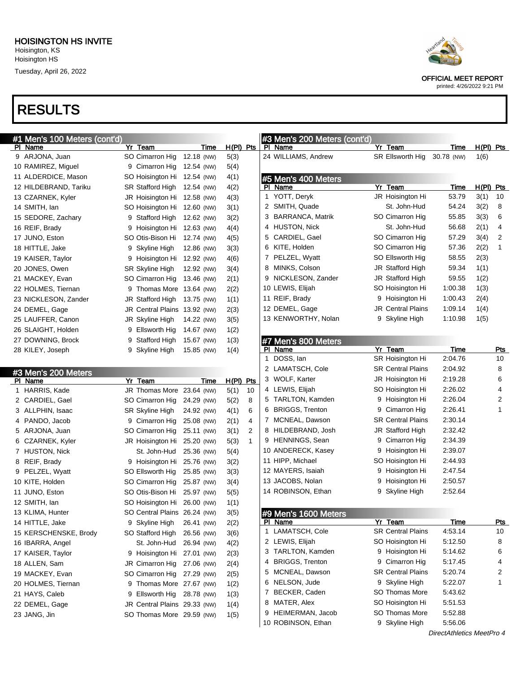### RESULTS





OFFICIAL MEET REPORT

printed: 4/26/2022 9:21 PM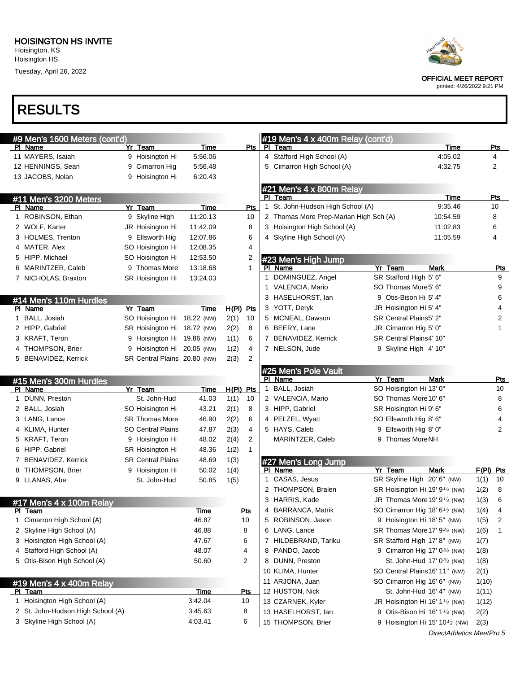Hoisington HS Tuesday, April 26, 2022

# RESULTS

| #9 Men's 1600 Meters (cont'd)     |                              |             |             | #19 Men's 4 x 400m Relay (cont'd)               |                                            |           |                |
|-----------------------------------|------------------------------|-------------|-------------|-------------------------------------------------|--------------------------------------------|-----------|----------------|
| PI Name                           | Yr Team                      | Time        | Pts         | <b>PI</b><br>Team                               | Time                                       |           | <b>Pts</b>     |
| 11 MAYERS, Isaiah                 | 9 Hoisington Hi              | 5:56.06     |             | 4 Stafford High School (A)                      | 4:05.02                                    |           | 4              |
| 12 HENNINGS, Sean                 | 9 Cimarron Hig               | 5:56.48     |             | Cimarron High School (A)                        | 4:32.75                                    |           | 2              |
| 13 JACOBS, Nolan                  | 9 Hoisington Hi              | 6:20.43     |             |                                                 |                                            |           |                |
|                                   |                              |             |             | #21 Men's 4 x 800m Relay                        |                                            |           |                |
| #11 Men's 3200 Meters             |                              |             |             | PI Team                                         | Time                                       |           | <b>Pts</b>     |
| PI Name                           | Yr Team                      | Time        | <b>Pts</b>  | St. John-Hudson High School (A)<br>$\mathbf{1}$ | 9:35.46                                    |           | 10             |
| 1 ROBINSON, Ethan                 | 9 Skyline High               | 11:20.13    | 10          | Thomas More Prep-Marian High Sch (A)<br>2.      | 10:54.59                                   |           | 8              |
| 2 WOLF, Karter                    | JR Hoisington Hi             | 11:42.09    | 8           | Hoisington High School (A)<br>3                 | 11:02.83                                   |           | 6              |
| 3 HOLMES, Trenton                 | 9 Ellsworth Hig              | 12:07.86    | 6           | Skyline High School (A)<br>4                    | 11:05.59                                   |           | 4              |
| 4 MATER, Alex                     | SO Hoisington Hi             | 12:08.35    | 4           |                                                 |                                            |           |                |
| 5 HIPP, Michael                   | SO Hoisington Hi             | 12:53.50    | 2           | #23 Men's High Jump                             |                                            |           |                |
| 6 MARINTZER, Caleb                | 9 Thomas More                | 13:18.68    | 1           | PI Name                                         | Yr Team<br><b>Mark</b>                     |           | <u>Pts</u>     |
| 7 NICHOLAS, Braxton               | SR Hoisington Hi             | 13:24.03    |             | DOMINGUEZ, Angel<br>1                           | SR Stafford High 5' 6"                     |           | 9              |
|                                   |                              |             |             | 1 VALENCIA, Mario                               | SO Thomas More5' 6"                        |           | 9              |
| #14 Men's 110m Hurdles            |                              |             |             | HASELHORST, lan<br>3                            | 9 Otis-Bison Hi 5' 4"                      |           | 6              |
| PI Name                           | Yr Team                      | Time        | $H(PI)$ Pts | 3 YOTT, Deryk                                   | JR Hoisington Hi 5' 4"                     |           | 4              |
| 1 BALL, Josiah                    | SO Hoisington Hi 18.22 (NW)  |             | 2(1)<br>10  | 5 MCNEAL, Dawson                                | SR Central Plains5' 2"                     |           | $\overline{c}$ |
| 2 HIPP, Gabriel                   | SR Hoisington Hi 18.72 (NW)  |             | 2(2)<br>8   | 6 BEERY, Lane                                   | JR Cimarron Hig 5' 0"                      |           | 1              |
| 3 KRAFT, Teron                    | 9 Hoisington Hi 19.86 (NW)   |             | 1(1)<br>6   | <b>BENAVIDEZ, Kerrick</b><br>7                  | SR Central Plains4' 10"                    |           |                |
| 4 THOMPSON, Brier                 | 9 Hoisington Hi 20.05 (NW)   |             | 1(2)<br>4   | 7 NELSON, Jude                                  | 9 Skyline High 4' 10"                      |           |                |
| 5 BENAVIDEZ, Kerrick              | SR Central Plains 20.80 (NW) |             | 2<br>2(3)   |                                                 |                                            |           |                |
|                                   |                              |             |             | #25 Men's Pole Vault                            |                                            |           |                |
| #15 Men's 300m Hurdles            |                              |             |             | PI Name                                         | Yr Team<br><b>Mark</b>                     |           | <b>Pts</b>     |
| PI Name                           | Yr Team                      | Time        | $H(PI)$ Pts | BALL, Josiah<br>1.                              | SO Hoisington Hi 13' 0"                    |           | 10             |
| 1 DUNN, Preston                   | St. John-Hud                 | 41.03       | 1(1)<br>10  | 2 VALENCIA, Mario                               | SO Thomas More 10' 6"                      |           | 8              |
| 2 BALL, Josiah                    | SO Hoisington Hi             | 43.21       | 2(1)<br>8   | 3 HIPP, Gabriel                                 | SR Hoisington Hi 9' 6"                     |           | 6              |
| 3 LANG, Lance                     | <b>SR Thomas More</b>        | 46.90       | 2(2)<br>6   | 4 PELZEL, Wyatt                                 | SO Ellsworth Hig 8' 6"                     |           | 4              |
| 4 KLIMA, Hunter                   | <b>SO Central Plains</b>     | 47.87       | 2(3)<br>4   | 5 HAYS, Caleb                                   | 9 Ellsworth Hig 8' 0"                      |           | 2              |
| 5 KRAFT, Teron                    | 9 Hoisington Hi              | 48.02       | 2<br>2(4)   | MARINTZER, Caleb                                | 9 Thomas MoreNH                            |           |                |
| 6 HIPP, Gabriel                   | SR Hoisington Hi             | 48.36       | 1(2)<br>1   |                                                 |                                            |           |                |
| 7 BENAVIDEZ, Kerrick              | <b>SR Central Plains</b>     | 48.69       | 1(3)        | #27 Men's Long Jump                             |                                            |           |                |
| 8 THOMPSON, Brier                 | 9 Hoisington Hi              | 50.02       | 1(4)        | PI Name                                         | Yr Team<br><b>Mark</b>                     | F(PI) Pts |                |
| 9 LLANAS, Abe                     | St. John-Hud                 | 50.85       | 1(5)        | 1 CASAS, Jesus                                  | SR Skyline High 20' 6" (NW)                | 1(1)      | 10             |
|                                   |                              |             |             | THOMPSON, Bralen<br>2                           | SR Hoisington Hi 19' 9 <sup>1/4</sup> (NW) | 1(2)      | 8              |
| #17 Men's 4 x 100m Relay          |                              |             |             | 3 HARRIS, Kade                                  | JR Thomas More 19' 9 <sup>1/4</sup> (NW)   | 1(3)      | 6              |
| PI Team                           |                              | <u>Time</u> | <b>Pts</b>  | <b>BARRANCA, Matrik</b><br>4                    | SO Cimarron Hig 18' 6 <sup>1/2</sup> (NW)  | 1(4)      | $\overline{4}$ |
| 1 Cimarron High School (A)        |                              | 46.87       | 10          | 5 ROBINSON, Jason                               | 9 Hoisington Hi 18' 5" (NW)                | 1(5)      | $\overline{c}$ |
| 2 Skyline High School (A)         |                              | 46.88       | 8           | LANG, Lance<br>6                                | SR Thomas More 17' 9 <sup>3/4</sup> (NW)   | 1(6)      | $\mathbf{1}$   |
| 3 Hoisington High School (A)      |                              | 47.67       | 6           | 7 HILDEBRAND, Tariku                            | SR Stafford High 17' 8" (NW)               | 1(7)      |                |
| 4 Stafford High School (A)        |                              | 48.07       | 4           | PANDO, Jacob<br>8                               | 9 Cimarron Hig 17' $0\frac{3}{4}$ (NW)     | 1(8)      |                |
| 5 Otis-Bison High School (A)      |                              | 50.60       | 2           | DUNN, Preston<br>8                              | St. John-Hud 17' 0 <sup>3/4</sup> (NW)     | 1(8)      |                |
|                                   |                              |             |             | 10 KLIMA, Hunter                                | SO Central Plains16' 11" (NW)              | 2(1)      |                |
| #19 Men's 4 x 400m Relay          |                              |             |             | 11 ARJONA, Juan                                 | SO Cimarron Hig 16' 6" (NW)                | 1(10)     |                |
| PI Team                           |                              | <u>Time</u> | <u>Pts</u>  | 12 HUSTON, Nick                                 | St. John-Hud 16' 4" (NW)                   | 1(11)     |                |
| 1 Hoisington High School (A)      |                              | 3:42.04     | 10          | 13 CZARNEK, Kyler                               | JR Hoisington Hi 16' 1 <sup>1/4</sup> (NW) | 1(12)     |                |
| 2 St. John-Hudson High School (A) |                              | 3:45.63     | 8           | 13 HASELHORST, lan                              | 9 Otis-Bison Hi 16' 1 <sup>1/4</sup> (NW)  | 2(2)      |                |
| 3 Skyline High School (A)         |                              | 4:03.41     | 6           | 15 THOMPSON, Brier                              | 9 Hoisington Hi 15' 10 <sup>1/2</sup> (NW) | 2(3)      |                |



printed: 4/26/2022 9:21 PM

OFFICIAL MEET REPORT

DirectAthletics MeetPro 5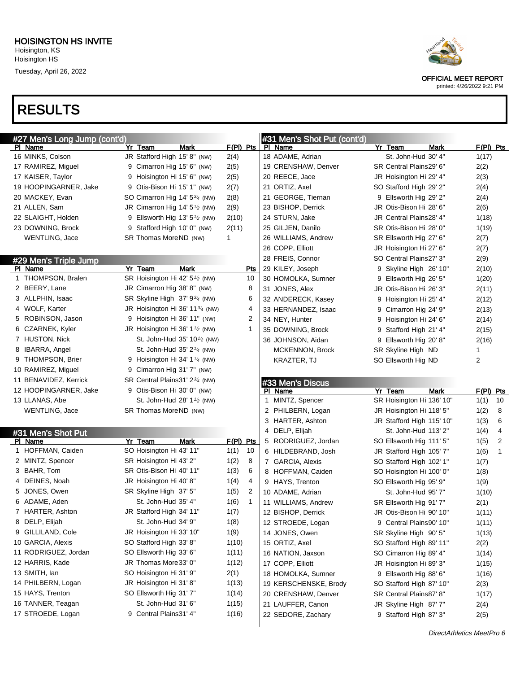## RESULTS

| #27 Men's Long Jump (cont'd)  |                                                         |               | #31 Men's Shot Put (cont'd)             |                                                    |                         |
|-------------------------------|---------------------------------------------------------|---------------|-----------------------------------------|----------------------------------------------------|-------------------------|
| PI Name                       | Yr Team<br><b>Mark</b>                                  | $F(PI)$ Pts   | PI Name                                 | Yr Team<br><b>Mark</b>                             | $F(PI)$ Pts             |
| 16 MINKS, Colson              | JR Stafford High 15' 8" (NW)                            | 2(4)          | 18 ADAME, Adrian                        | St. John-Hud 30' 4"                                | 1(17)                   |
| 17 RAMIREZ, Miguel            | 9 Cimarron Hig 15' 6" (NW)                              | 2(5)          | 19 CRENSHAW, Denver                     | SR Central Plains29' 6"                            | 2(2)                    |
| 17 KAISER, Taylor             | 9 Hoisington Hi 15' 6" (NW)                             | 2(5)          | 20 REECE, Jace                          | JR Hoisington Hi 29' 4"                            | 2(3)                    |
| 19 HOOPINGARNER, Jake         | 9 Otis-Bison Hi 15' 1" (NW)                             | 2(7)          | 21 ORTIZ, Axel                          | SO Stafford High 29' 2"                            | 2(4)                    |
| 20 MACKEY, Evan               | SO Cimarron Hig 14' 5 <sup>3/4</sup> (NW)               | 2(8)          | 21 GEORGE, Tiernan                      | 9 Ellsworth Hig 29' 2"                             | 2(4)                    |
| 21 ALLEN, Sam                 | JR Cimarron Hig 14' $5\frac{1}{2}$ (NW)                 | 2(9)          | 23 BISHOP, Derrick                      | JR Otis-Bison Hi 28' 6"                            | 2(6)                    |
| 22 SLAIGHT, Holden            | 9 Ellsworth Hig 13' $5\frac{1}{2}$ (NW)                 | 2(10)         | 24 STURN, Jake                          | JR Central Plains28' 4"                            | 1(18)                   |
| 23 DOWNING, Brock             | 9 Stafford High 10' 0" (NW)                             | 2(11)         | 25 GILJEN, Danilo                       | SR Otis-Bison Hi 28' 0"                            | 1(19)                   |
| WENTLING, Jace                | SR Thomas MoreND (NW)                                   | 1             | 26 WILLIAMS, Andrew                     | SR Ellsworth Hig 27' 6"                            | 2(7)                    |
|                               |                                                         |               | 26 COPP, Elliott                        | JR Hoisington Hi 27' 6"                            | 2(7)                    |
| #29 Men's Triple Jump         |                                                         |               | 28 FREIS, Connor                        | SO Central Plains27' 3"                            | 2(9)                    |
| PI Name                       | Yr Team<br>Mark                                         | <u>Pts</u>    | 29 KILEY, Joseph                        | Skyline High 26' 10"<br>9                          | 2(10)                   |
| 1 THOMPSON, Bralen            | SR Hoisington Hi 42' 5 <sup>1</sup> / <sub>2</sub> (NW) | 10            | 30 HOMOLKA, Sumner                      | Ellsworth Hig 26' 5"<br>9                          | 1(20)                   |
| 2 BEERY, Lane                 | JR Cimarron Hig 38' 8" (NW)                             | 8             | 31 JONES, Alex                          | JR Otis-Bison Hi 26' 3"                            | 2(11)                   |
| 3 ALLPHIN, Isaac              | SR Skyline High 37' 934 (NW)                            | 6             | 32 ANDERECK, Kasey                      | Hoisington Hi 25' 4"<br>9                          | 2(12)                   |
| 4 WOLF, Karter                | JR Hoisington Hi 36' 11 <sup>3/4</sup> (NW)             | 4             | 33 HERNANDEZ, Isaac                     | Cimarron Hig 24' 9"<br>9                           | 2(13)                   |
| 5 ROBINSON, Jason             | 9 Hoisington Hi 36' 11" (NW)                            | 2             | 34 NEY, Hunter                          | Hoisington Hi 24' 6"<br>9                          | 2(14)                   |
| 6 CZARNEK, Kyler              | JR Hoisington Hi 36' 1 <sup>1</sup> /2 (NW)             | 1             | 35 DOWNING, Brock                       | Stafford High 21' 4"<br>9                          | 2(15)                   |
| 7 HUSTON, Nick                | St. John-Hud 35' 10 <sup>1</sup> / <sub>2</sub> (NW)    |               | 36 JOHNSON, Aidan                       | Ellsworth Hig 20' 8"<br>9                          | 2(16)                   |
| 8 IBARRA, Angel               | St. John-Hud $35' 2\frac{1}{4}$ (NW)                    |               | <b>MCKENNON, Brock</b>                  | SR Skyline High ND                                 | 1                       |
| 9 THOMPSON, Brier             | 9 Hoisington Hi 34' 1 <sup>1/4</sup> (NW)               |               | KRAZTER, TJ                             | SO Ellsworth Hig ND                                | 2                       |
| 10 RAMIREZ, Miguel            | 9 Cimarron Hig 31' 7" (NW)                              |               |                                         |                                                    |                         |
| 11 BENAVIDEZ, Kerrick         | SR Central Plains31' 23/4 (NW)                          |               |                                         |                                                    |                         |
|                               |                                                         |               |                                         |                                                    |                         |
| 12 HOOPINGARNER, Jake         | 9 Otis-Bison Hi 30' 0" (NW)                             |               | #33 Men's Discus<br>PI Name             | Yr Team                                            |                         |
| 13 LLANAS, Abe                | St. John-Hud 28' $1\frac{1}{2}$ (NW)                    |               | MINTZ, Spencer<br>1                     | <b>Mark</b><br>SR Hoisington Hi 136' 10"           | F(PI) Pts<br>1(1)<br>10 |
| WENTLING, Jace                | SR Thomas MoreND (NW)                                   |               | 2 PHILBERN, Logan                       | JR Hoisington Hi 118' 5"                           | 8<br>1(2)               |
|                               |                                                         |               | 3 HARTER, Ashton                        | JR Stafford High 115' 10"                          | 1(3)<br>6               |
|                               |                                                         |               | 4 DELP, Elijah                          | St. John-Hud 113' 2"                               | 1(4)<br>4               |
| #31 Men's Shot Put<br>PI Name | Yr Team<br>Mark                                         | $F(PI)$ Pts   | 5 RODRIGUEZ, Jordan                     | SO Ellsworth Hig 111' 5"                           | 1(5)<br>2               |
| 1 HOFFMAN, Caiden             | SO Hoisington Hi 43' 11"                                | 1(1)<br>10    | 6 HILDEBRAND, Josh                      | JR Stafford High 105' 7"                           | 1(6)<br>1               |
| 2 MINTZ, Spencer              | SR Hoisington Hi 43' 2"                                 | 1(2)<br>8     |                                         | SO Stafford High 102' 1"                           | 1(7)                    |
| 3 BAHR, Tom                   | SR Otis-Bison Hi 40' 11"                                | 1(3)<br>6     | 7 GARCIA, Alexis<br>8 HOFFMAN, Caiden   | SO Hoisington Hi 100' 0"                           | 1(8)                    |
| 4 DEINES, Noah                | JR Hoisington Hi 40' 8"                                 | 1(4)<br>4     | 9 HAYS, Trenton                         | SO Ellsworth Hig 95' 9"                            | 1(9)                    |
| 5 JONES, Owen                 | SR Skyline High 37' 5"                                  | 2<br>1(5)     | 10 ADAME, Adrian                        | St. John-Hud 95' 7"                                | 1(10)                   |
| 6 ADAME, Aden                 | St. John-Hud 35' 4"                                     | 1(6)<br>1     | 11 WILLIAMS, Andrew                     | SR Ellsworth Hig 91' 7"                            |                         |
| 7 HARTER, Ashton              | JR Stafford High 34' 11"                                |               |                                         | JR Otis-Bison Hi 90' 10"                           | 2(1)                    |
| 8 DELP, Elijah                | St. John-Hud 34' 9"                                     | 1(7)<br>1(8)  | 12 BISHOP, Derrick<br>12 STROEDE, Logan | 9 Central Plains90' 10"                            | 1(11)                   |
| 9 GILLILAND, Cole             | JR Hoisington Hi 33' 10"                                | 1(9)          |                                         | SR Skyline High 90' 5"                             | 1(11)                   |
| 10 GARCIA, Alexis             | SO Stafford High 33' 8"                                 | 1(10)         | 14 JONES, Owen                          | SO Stafford High 89' 11"                           | 1(13)                   |
| 11 RODRIGUEZ, Jordan          | SO Ellsworth Hig 33' 6"                                 | 1(11)         | 15 ORTIZ, Axel<br>16 NATION, Jaxson     | SO Cimarron Hig 89' 4"                             | 2(2)                    |
| 12 HARRIS, Kade               | JR Thomas More33' 0"                                    | 1(12)         |                                         | JR Hoisington Hi 89' 3"                            | 1(14)                   |
| 13 SMITH, lan                 | SO Hoisington Hi 31' 9"                                 |               | 17 COPP, Elliott                        |                                                    | 1(15)                   |
| 14 PHILBERN, Logan            | JR Hoisington Hi 31' 8"                                 | 2(1)<br>1(13) | 18 HOMOLKA, Sumner                      | 9 Ellsworth Hig 88' 6"<br>SO Stafford High 87' 10" | 1(16)                   |
| 15 HAYS, Trenton              | SO Ellsworth Hig 31' 7"                                 | 1(14)         | 19 KERSCHENSKE, Brody                   |                                                    | 2(3)                    |
| 16 TANNER, Teagan             | St. John-Hud 31' 6"                                     | 1(15)         | 20 CRENSHAW, Denver                     | SR Central Plains87' 8"                            | 1(17)                   |
| 17 STROEDE, Logan             | 9 Central Plains 31' 4"                                 | 1(16)         | 21 LAUFFER, Canon<br>22 SEDORE, Zachary | JR Skyline High 87' 7"<br>9 Stafford High 87' 3"   | 2(4)<br>2(5)            |



OFFICIAL MEET REPORT

printed: 4/26/2022 9:21 PM